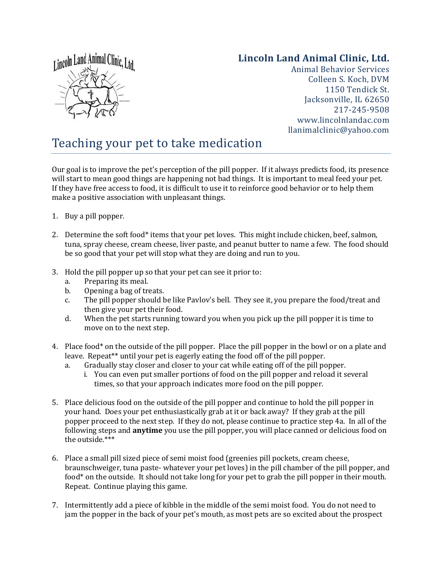

## **Lincoln Land Animal Clinic, Ltd.**

Animal Behavior Services Colleen S. Koch, DVM 1150 Tendick St. Jacksonville, IL 62650 217-245-9508 www.lincolnlandac.com llanimalclinic@yahoo.com

## Teaching your pet to take medication

Our goal is to improve the pet's perception of the pill popper. If it always predicts food, its presence will start to mean good things are happening not bad things. It is important to meal feed your pet. If they have free access to food, it is difficult to use it to reinforce good behavior or to help them make a positive association with unpleasant things.

- 1. Buy a pill popper.
- 2. Determine the soft food\* items that your pet loves. This might include chicken, beef, salmon, tuna, spray cheese, cream cheese, liver paste, and peanut butter to name a few. The food should be so good that your pet will stop what they are doing and run to you.
- 3. Hold the pill popper up so that your pet can see it prior to:
	- a. Preparing its meal.
	- b. Opening a bag of treats.
	- c. The pill popper should be like Pavlov's bell. They see it, you prepare the food/treat and then give your pet their food.
	- d. When the pet starts running toward you when you pick up the pill popper it is time to move on to the next step.
- 4. Place food\* on the outside of the pill popper. Place the pill popper in the bowl or on a plate and leave. Repeat\*\* until your pet is eagerly eating the food off of the pill popper.
	- a. Gradually stay closer and closer to your cat while eating off of the pill popper.
		- i. You can even put smaller portions of food on the pill popper and reload it several times, so that your approach indicates more food on the pill popper.
- 5. Place delicious food on the outside of the pill popper and continue to hold the pill popper in your hand. Does your pet enthusiastically grab at it or back away? If they grab at the pill popper proceed to the next step. If they do not, please continue to practice step 4a. In all of the following steps and **anytime** you use the pill popper, you will place canned or delicious food on the outside.\*\*\*
- 6. Place a small pill sized piece of semi moist food (greenies pill pockets, cream cheese, braunschweiger, tuna paste- whatever your pet loves) in the pill chamber of the pill popper, and food\* on the outside. It should not take long for your pet to grab the pill popper in their mouth. Repeat. Continue playing this game.
- 7. Intermittently add a piece of kibble in the middle of the semi moist food. You do not need to jam the popper in the back of your pet's mouth, as most pets are so excited about the prospect